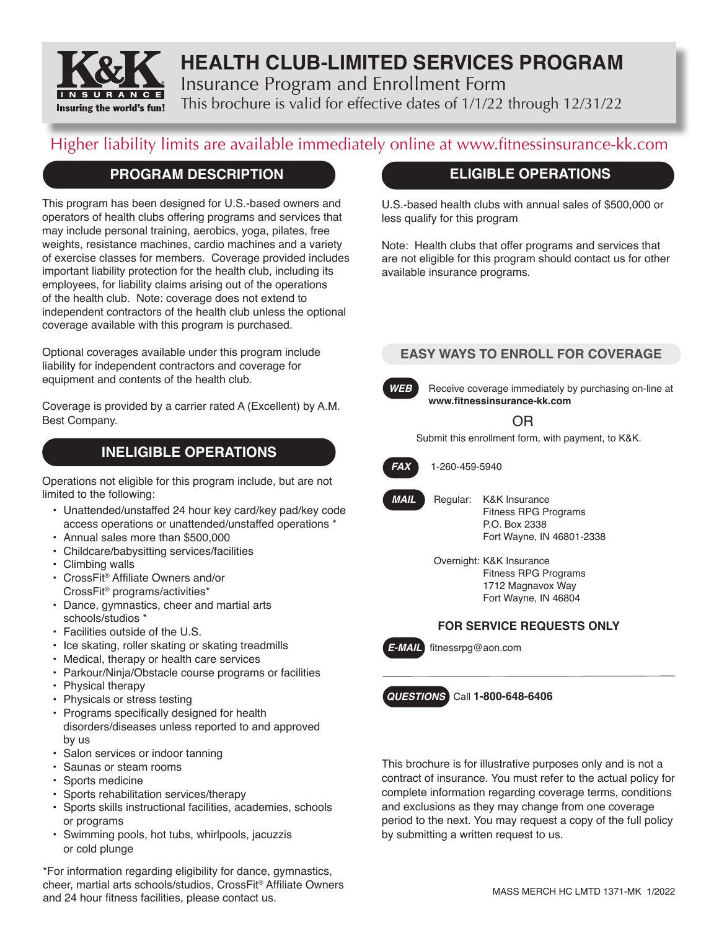

# **HEALTH CLUB-LIMITED SERVICES PROGRAM** Insurance Program and Enrollment Form

This brochure is valid for effective dates of 1/1/22 through 12/31/22

# Higher liability limits are available immediately online at www.fitnessinsurance-kk.com

# **PROGRAM DESCRIPTION**

This program has been designed for U.S.-based owners and operators of health clubs offering programs and services that may include personal training, aerobics, yoga, pilates, free weights, resistance machines, cardio machines and a variety of exercise classes for members. Coverage provided includes important liability protection for the health club, including its employees, for liability claims arising out of the operations of the health club. Note: coverage does not extend to independent contractors of the health club unless the optional coverage available with this program is purchased.

Optional coverages available under this program include liability for independent contractors and coverage for equipment and contents of the health club.

Coverage is provided by a carrier rated A (Excellent) by A.M. Best Company.

# **INELIGIBLE OPERATIONS**

Operations not eligible for this program include, but are not limited to the following:

- Unattended/unstaffed 24 hour key card/key pad/key code access operations or unattended/unstaffed operations \*
- Annual sales more than \$500,000
- Childcare/babysitting services/facilities
- Climbing walls
- CrossFit® Affiliate Owners and/or CrossFit® programs/activities\*
- Dance, gymnastics, cheer and martial arts schools/studios \*
- Facilities outside of the U.S.
- Ice skating, roller skating or skating treadmills
- Medical, therapy or health care services
- Parkour/Ninja/Obstacle course programs or facilities
- Physical therapy
- Physicals or stress testing
- Programs specifically designed for health disorders/diseases unless reported to and approved by us
- Salon services or indoor tanning
- Saunas or steam rooms
- Sports medicine
- Sports rehabilitation services/therapy
- Sports skills instructional facilities, academies, schools or programs
- Swimming pools, hot tubs, whirlpools, jacuzzis or cold plunge

\*For information regarding eligibility for dance, gymnastics, cheer, martial arts schools/studios, CrossFit® Affiliate Owners and 24 hour fitness facilities, please contact us.

# **ELIGIBLE OPERATIONS**

U.S.-based health clubs with annual sales of \$500,000 or less qualify for this program

Note: Health clubs that offer programs and services that are not eligible for this program should contact us for other available insurance programs.

## **EASY WAYS TO ENROLL FOR COVERAGE**

**WEB** Receive coverage immediately by purchasing on-line at **www.fitnessinsurance-kk.com**

OR

Submit this enrollment form, with payment, to K&K.



*FAX* 1-260-459-5940

- *MAIL* Regular: K&K Insurance Fitness RPG Programs P.O. Box 2338 Fort Wayne, IN 46801-2338
	- Overnight: K&K Insurance Fitness RPG Programs 1712 Magnavox Way Fort Wayne, IN 46804

## **FOR SERVICE REQUESTS ONLY**

*E-MAIL* fitnessrpg@aon.com



This brochure is for illustrative purposes only and is not a contract of insurance. You must refer to the actual policy for complete information regarding coverage terms, conditions and exclusions as they may change from one coverage period to the next. You may request a copy of the full policy by submitting a written request to us.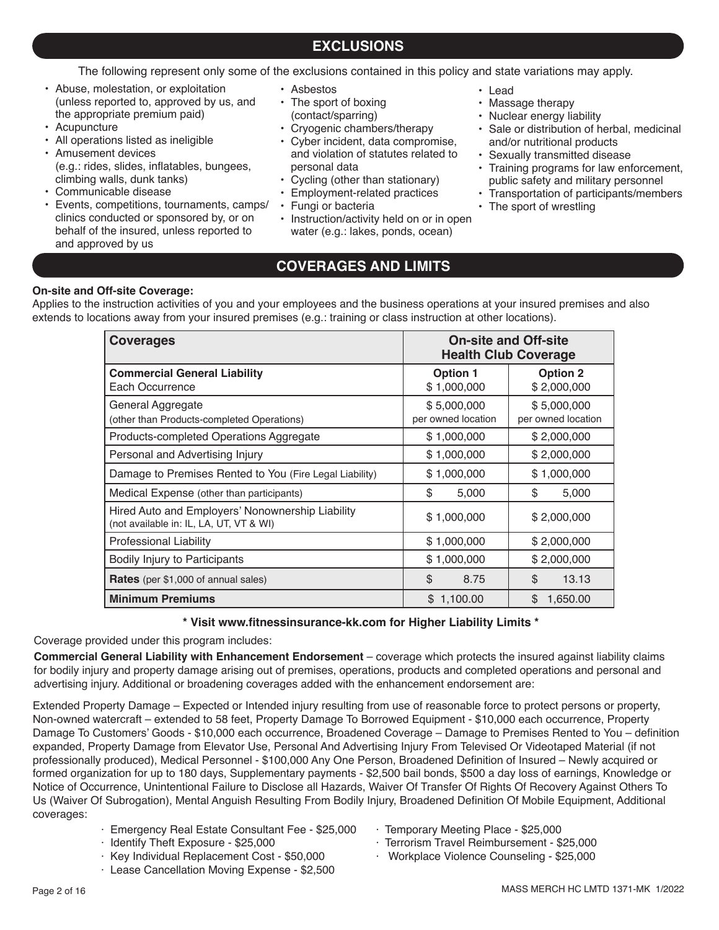# **EXCLUSIONS**

The following represent only some of the exclusions contained in this policy and state variations may apply.

- Abuse, molestation, or exploitation (unless reported to, approved by us, and the appropriate premium paid)
- Acupuncture
- All operations listed as ineligible
- Amusement devices (e.g.: rides, slides, inflatables, bungees, climbing walls, dunk tanks)
- Communicable disease
- Events, competitions, tournaments, camps/ clinics conducted or sponsored by, or on behalf of the insured, unless reported to and approved by us
- Asbestos
- The sport of boxing
- (contact/sparring)
- Cryogenic chambers/therapy
- Cyber incident, data compromise, and violation of statutes related to personal data
- Cycling (other than stationary)
- Employment-related practices<br>• Fungi or bacteria
- Fungi or bacteria
- Instruction/activity held on or in open water (e.g.: lakes, ponds, ocean)
- Lead
- Massage therapy
- Nuclear energy liability
- Sale or distribution of herbal, medicinal and/or nutritional products
- Sexually transmitted disease
- Training programs for law enforcement, public safety and military personnel
- Transportation of participants/members
- The sport of wrestling

# **COVERAGES AND LIMITS**

## **On-site and Off-site Coverage:**

Applies to the instruction activities of you and your employees and the business operations at your insured premises and also extends to locations away from your insured premises (e.g.: training or class instruction at other locations).

| <b>Coverages</b>                                                                            | <b>On-site and Off-site</b><br><b>Health Club Coverage</b> |                                   |
|---------------------------------------------------------------------------------------------|------------------------------------------------------------|-----------------------------------|
| <b>Commercial General Liability</b><br>Each Occurrence                                      | <b>Option 1</b><br>\$1,000,000                             | <b>Option 2</b><br>\$2,000,000    |
| General Aggregate<br>(other than Products-completed Operations)                             | \$5,000,000<br>per owned location                          | \$5,000,000<br>per owned location |
| Products-completed Operations Aggregate                                                     | \$1,000,000                                                | \$2,000,000                       |
| Personal and Advertising Injury                                                             | \$1,000,000                                                | \$2,000,000                       |
| Damage to Premises Rented to You (Fire Legal Liability)                                     | \$1,000,000                                                | \$1,000,000                       |
| Medical Expense (other than participants)                                                   | \$<br>5,000                                                | \$<br>5,000                       |
| Hired Auto and Employers' Nonownership Liability<br>(not available in: IL, LA, UT, VT & WI) | \$1,000,000                                                | \$2,000,000                       |
| <b>Professional Liability</b>                                                               | \$1,000,000                                                | \$2,000,000                       |
| Bodily Injury to Participants                                                               | \$1,000,000                                                | \$2,000,000                       |
| <b>Rates</b> (per \$1,000 of annual sales)                                                  | \$<br>8.75                                                 | \$<br>13.13                       |
| <b>Minimum Premiums</b>                                                                     | \$1,100.00                                                 | \$<br>1,650.00                    |

#### **\* Visit www.fitnessinsurance-kk.com for Higher Liability Limits \***

Coverage provided under this program includes:

**Commercial General Liability with Enhancement Endorsement** – coverage which protects the insured against liability claims for bodily injury and property damage arising out of premises, operations, products and completed operations and personal and advertising injury. Additional or broadening coverages added with the enhancement endorsement are:

Extended Property Damage – Expected or Intended injury resulting from use of reasonable force to protect persons or property, Non-owned watercraft – extended to 58 feet, Property Damage To Borrowed Equipment - \$10,000 each occurrence, Property Damage To Customers' Goods - \$10,000 each occurrence, Broadened Coverage – Damage to Premises Rented to You – definition expanded, Property Damage from Elevator Use, Personal And Advertising Injury From Televised Or Videotaped Material (if not professionally produced), Medical Personnel - \$100,000 Any One Person, Broadened Definition of Insured – Newly acquired or formed organization for up to 180 days, Supplementary payments - \$2,500 bail bonds, \$500 a day loss of earnings, Knowledge or Notice of Occurrence, Unintentional Failure to Disclose all Hazards, Waiver Of Transfer Of Rights Of Recovery Against Others To Us (Waiver Of Subrogation), Mental Anguish Resulting From Bodily Injury, Broadened Definition Of Mobile Equipment, Additional coverages:

- · Emergency Real Estate Consultant Fee \$25,000
- · Identify Theft Exposure \$25,000
- · Key Individual Replacement Cost \$50,000
- · Lease Cancellation Moving Expense \$2,500
- · Temporary Meeting Place \$25,000
- · Terrorism Travel Reimbursement \$25,000
- · Workplace Violence Counseling \$25,000

MASS MERCH HC LMTD 1371-MK 1/2022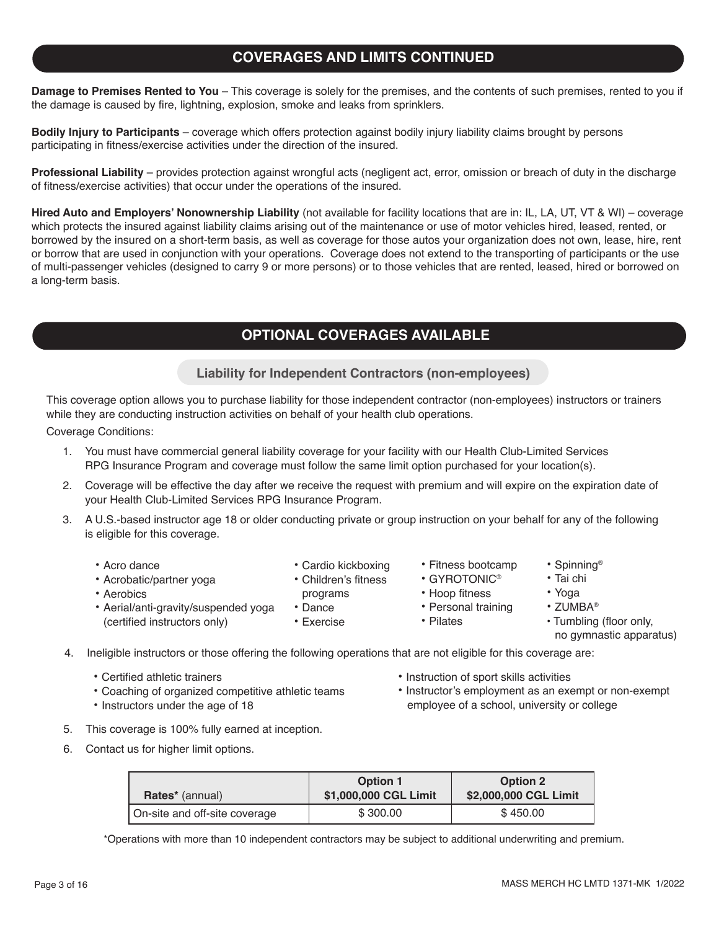# **COVERAGES AND LIMITS CONTINUED**

**Damage to Premises Rented to You** – This coverage is solely for the premises, and the contents of such premises, rented to you if the damage is caused by fire, lightning, explosion, smoke and leaks from sprinklers.

**Bodily Injury to Participants** – coverage which offers protection against bodily injury liability claims brought by persons participating in fitness/exercise activities under the direction of the insured.

**Professional Liability** – provides protection against wrongful acts (negligent act, error, omission or breach of duty in the discharge of fitness/exercise activities) that occur under the operations of the insured.

**Hired Auto and Employers' Nonownership Liability** (not available for facility locations that are in: IL, LA, UT, VT & WI) – coverage which protects the insured against liability claims arising out of the maintenance or use of motor vehicles hired, leased, rented, or borrowed by the insured on a short-term basis, as well as coverage for those autos your organization does not own, lease, hire, rent or borrow that are used in conjunction with your operations. Coverage does not extend to the transporting of participants or the use of multi-passenger vehicles (designed to carry 9 or more persons) or to those vehicles that are rented, leased, hired or borrowed on a long-term basis.

# **OPTIONAL COVERAGES AVAILABLE**

**Liability for Independent Contractors (non-employees)**

This coverage option allows you to purchase liability for those independent contractor (non-employees) instructors or trainers while they are conducting instruction activities on behalf of your health club operations.

Coverage Conditions:

- 1. You must have commercial general liability coverage for your facility with our Health Club-Limited Services RPG Insurance Program and coverage must follow the same limit option purchased for your location(s).
- 2. Coverage will be effective the day after we receive the request with premium and will expire on the expiration date of your Health Club-Limited Services RPG Insurance Program.
- 3. A U.S.-based instructor age 18 or older conducting private or group instruction on your behalf for any of the following is eligible for this coverage.
	- Acro dance
- 
- Acrobatic/partner yoga
- Aerobics
- Aerial/anti-gravity/suspended yoga
	- (certified instructors only)
- Cardio kickboxing
- Children's fitness
- programs
- Dance • Exercise
- Fitness bootcamp
- GYROTONIC®
- Hoop fitness
- Personal training
- Pilates
- Tumbling (floor only,

• Spinning® • Tai chi • Yoga • ZUMBA®

no gymnastic apparatus)

4. Ineligible instructors or those offering the following operations that are not eligible for this coverage are:

- Certified athletic trainers
- Coaching of organized competitive athletic teams
- Instructors under the age of 18
- Instruction of sport skills activities
- Instructor's employment as an exempt or non-exempt employee of a school, university or college
- 5. This coverage is 100% fully earned at inception.
- 6. Contact us for higher limit options.

| <b>Rates</b> <sup>*</sup> (annual) | <b>Option 1</b><br>\$1,000,000 CGL Limit | <b>Option 2</b><br>\$2,000,000 CGL Limit |
|------------------------------------|------------------------------------------|------------------------------------------|
| On-site and off-site coverage      | \$300.00                                 | \$450.00                                 |

\*Operations with more than 10 independent contractors may be subject to additional underwriting and premium.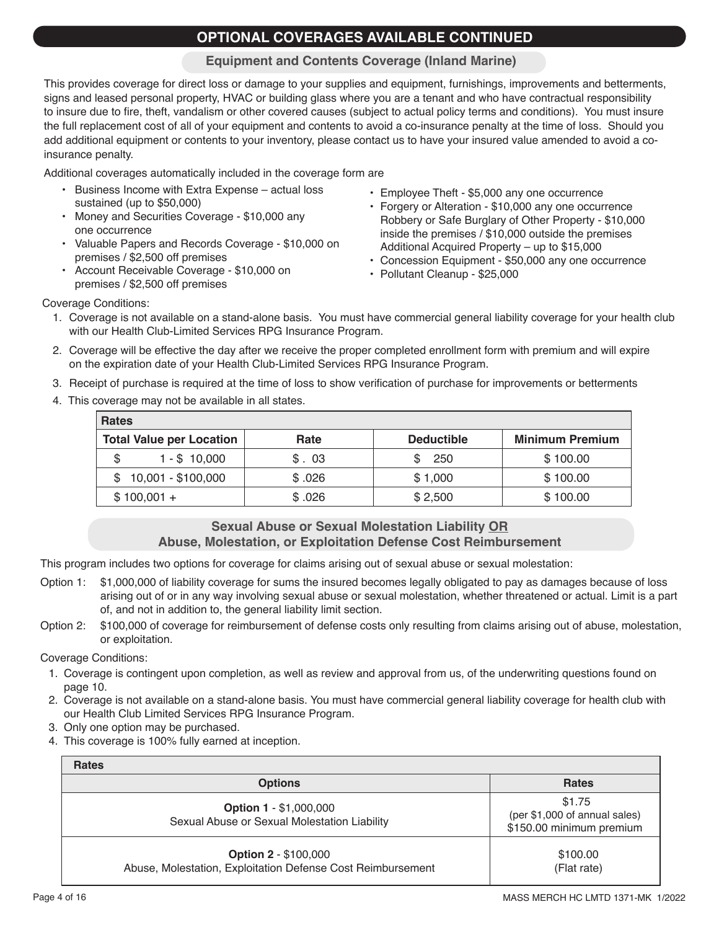# **OPTIONAL COVERAGES AVAILABLE CONTINUED**

## **Equipment and Contents Coverage (Inland Marine)**

This provides coverage for direct loss or damage to your supplies and equipment, furnishings, improvements and betterments, signs and leased personal property, HVAC or building glass where you are a tenant and who have contractual responsibility to insure due to fire, theft, vandalism or other covered causes (subject to actual policy terms and conditions). You must insure the full replacement cost of all of your equipment and contents to avoid a co-insurance penalty at the time of loss. Should you add additional equipment or contents to your inventory, please contact us to have your insured value amended to avoid a coinsurance penalty.

Additional coverages automatically included in the coverage form are

- Business Income with Extra Expense actual loss sustained (up to \$50,000)
- Money and Securities Coverage \$10,000 any one occurrence
- Valuable Papers and Records Coverage \$10,000 on premises / \$2,500 off premises
- Account Receivable Coverage \$10,000 on premises / \$2,500 off premises
- Employee Theft \$5,000 any one occurrence
- Forgery or Alteration \$10,000 any one occurrence Robbery or Safe Burglary of Other Property - \$10,000 inside the premises / \$10,000 outside the premises Additional Acquired Property – up to \$15,000
- Concession Equipment \$50,000 any one occurrence
- Pollutant Cleanup \$25,000

Coverage Conditions:

- 1. Coverage is not available on a stand-alone basis. You must have commercial general liability coverage for your health club with our Health Club-Limited Services RPG Insurance Program.
- 2. Coverage will be effective the day after we receive the proper completed enrollment form with premium and will expire on the expiration date of your Health Club-Limited Services RPG Insurance Program.
- 3. Receipt of purchase is required at the time of loss to show verification of purchase for improvements or betterments
- 4. This coverage may not be available in all states.

| <b>Rates</b>                    |        |                   |                        |
|---------------------------------|--------|-------------------|------------------------|
| <b>Total Value per Location</b> | Rate   | <b>Deductible</b> | <b>Minimum Premium</b> |
| $1 - $10,000$                   | \$.03  | 250               | \$100.00               |
| $$10,001 - $100,000$            | \$.026 | \$1,000           | \$100.00               |
| $$100,001 +$                    | \$.026 | \$2,500           | \$100.00               |

## **Sexual Abuse or Sexual Molestation Liability OR Abuse, Molestation, or Exploitation Defense Cost Reimbursement**

This program includes two options for coverage for claims arising out of sexual abuse or sexual molestation:

- Option 1: \$1,000,000 of liability coverage for sums the insured becomes legally obligated to pay as damages because of loss arising out of or in any way involving sexual abuse or sexual molestation, whether threatened or actual. Limit is a part of, and not in addition to, the general liability limit section.
- Option 2: \$100,000 of coverage for reimbursement of defense costs only resulting from claims arising out of abuse, molestation, or exploitation.

Coverage Conditions:

- 1. Coverage is contingent upon completion, as well as review and approval from us, of the underwriting questions found on page 10.
- 2. Coverage is not available on a stand-alone basis. You must have commercial general liability coverage for health club with our Health Club Limited Services RPG Insurance Program.
- 3. Only one option may be purchased.
- 4. This coverage is 100% fully earned at inception.

| <b>Rates</b>                                                                               |                                                                     |
|--------------------------------------------------------------------------------------------|---------------------------------------------------------------------|
| <b>Options</b>                                                                             | <b>Rates</b>                                                        |
| <b>Option 1 - \$1,000,000</b><br>Sexual Abuse or Sexual Molestation Liability              | \$1.75<br>(per \$1,000 of annual sales)<br>\$150.00 minimum premium |
| <b>Option 2 - \$100,000</b><br>Abuse, Molestation, Exploitation Defense Cost Reimbursement | \$100.00<br>(Flat rate)                                             |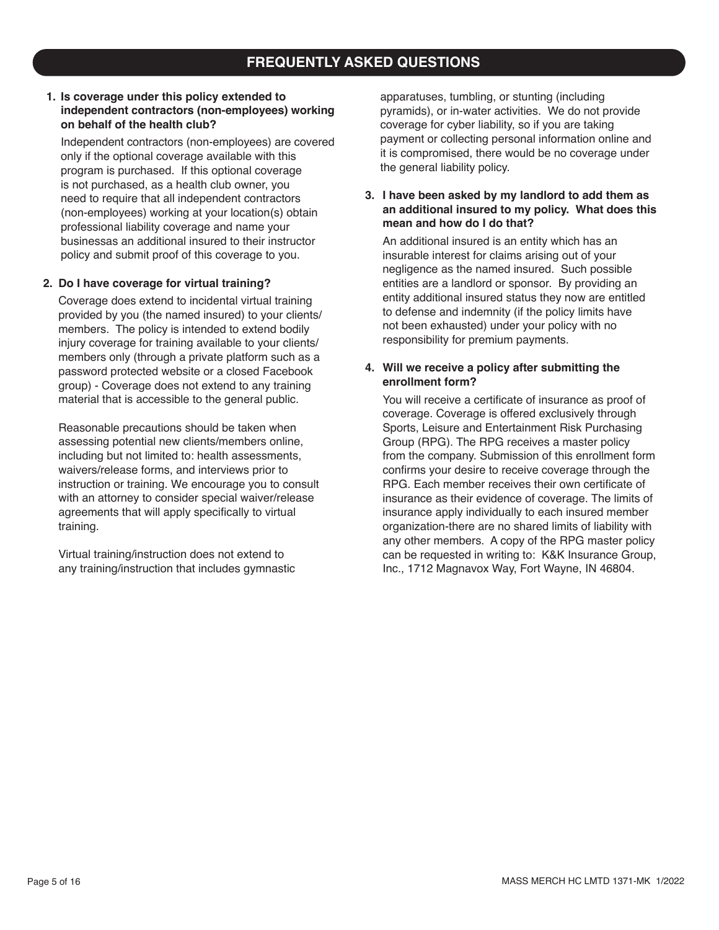# **FREQUENTLY ASKED QUESTIONS**

#### **1. Is coverage under this policy extended to independent contractors (non-employees) working on behalf of the health club?**

Independent contractors (non-employees) are covered only if the optional coverage available with this program is purchased. If this optional coverage is not purchased, as a health club owner, you need to require that all independent contractors (non-employees) working at your location(s) obtain professional liability coverage and name your businessas an additional insured to their instructor policy and submit proof of this coverage to you.

#### **2. Do I have coverage for virtual training?**

Coverage does extend to incidental virtual training provided by you (the named insured) to your clients/ members. The policy is intended to extend bodily injury coverage for training available to your clients/ members only (through a private platform such as a password protected website or a closed Facebook group) - Coverage does not extend to any training material that is accessible to the general public.

Reasonable precautions should be taken when assessing potential new clients/members online, including but not limited to: health assessments, waivers/release forms, and interviews prior to instruction or training. We encourage you to consult with an attorney to consider special waiver/release agreements that will apply specifically to virtual training.

Virtual training/instruction does not extend to any training/instruction that includes gymnastic apparatuses, tumbling, or stunting (including pyramids), or in-water activities. We do not provide coverage for cyber liability, so if you are taking payment or collecting personal information online and it is compromised, there would be no coverage under the general liability policy.

#### **3. I have been asked by my landlord to add them as an additional insured to my policy. What does this mean and how do I do that?**

An additional insured is an entity which has an insurable interest for claims arising out of your negligence as the named insured. Such possible entities are a landlord or sponsor. By providing an entity additional insured status they now are entitled to defense and indemnity (if the policy limits have not been exhausted) under your policy with no responsibility for premium payments.

#### **4. Will we receive a policy after submitting the enrollment form?**

You will receive a certificate of insurance as proof of coverage. Coverage is offered exclusively through Sports, Leisure and Entertainment Risk Purchasing Group (RPG). The RPG receives a master policy from the company. Submission of this enrollment form confirms your desire to receive coverage through the RPG. Each member receives their own certificate of insurance as their evidence of coverage. The limits of insurance apply individually to each insured member organization-there are no shared limits of liability with any other members. A copy of the RPG master policy can be requested in writing to: K&K Insurance Group, Inc., 1712 Magnavox Way, Fort Wayne, IN 46804.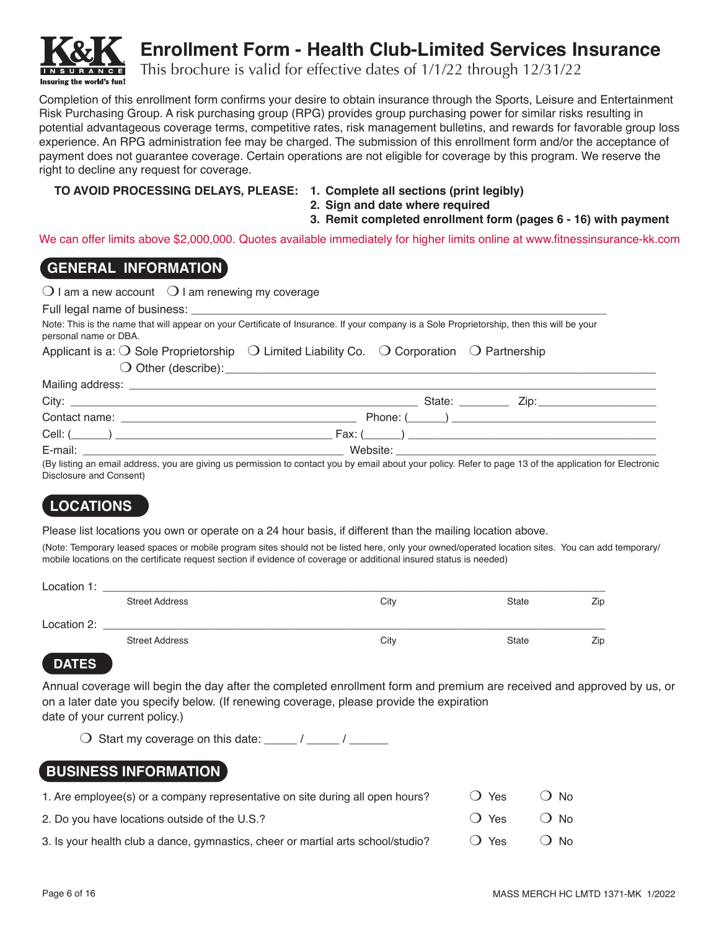

# **Enrollment Form - Health Club-Limited Services Insurance**

This brochure is valid for effective dates of 1/1/22 through 12/31/22

Completion of this enrollment form confirms your desire to obtain insurance through the Sports, Leisure and Entertainment Risk Purchasing Group. A risk purchasing group (RPG) provides group purchasing power for similar risks resulting in potential advantageous coverage terms, competitive rates, risk management bulletins, and rewards for favorable group loss experience. An RPG administration fee may be charged. The submission of this enrollment form and/or the acceptance of payment does not guarantee coverage. Certain operations are not eligible for coverage by this program. We reserve the right to decline any request for coverage.

## **TO AVOID PROCESSING DELAYS, PLEASE: 1. Complete all sections (print legibly)**

- **2. Sign and date where required**
- **3. Remit completed enrollment form (pages 6 16) with payment**

We can offer limits above \$2,000,000. Quotes available immediately for higher limits online at www.fitnessinsurance-kk.com

# **GENERAL INFORMATION**

Full legal name of business:

Note: This is the name that will appear on your Certificate of Insurance. If your company is a Sole Proprietorship, then this will be your personal name or DBA.

#### Applicant is a:  $\bigcirc$  Sole Proprietorship  $\bigcirc$  Limited Liability Co.  $\bigcirc$  Corporation  $\bigcirc$  Partnership

 $\bigcirc$  Other (describe):

| Mailing address:<br>the control of the control of the control of the control of the control of the control of             |          |              |
|---------------------------------------------------------------------------------------------------------------------------|----------|--------------|
| City:<br>and the control of the control of the control of the control of the control of the control of the control of the | State:   | $\angle$ in: |
| Contact name:                                                                                                             | Phone: 0 |              |
| Cell:                                                                                                                     | Fax: (   |              |
| E-mail:                                                                                                                   | Website: |              |

(By listing an email address, you are giving us permission to contact you by email about your policy. Refer to page 13 of the application for Electronic Disclosure and Consent)

# **LOCATIONS**

Please list locations you own or operate on a 24 hour basis, if different than the mailing location above.

(Note: Temporary leased spaces or mobile program sites should not be listed here, only your owned/operated location sites. You can add temporary/ mobile locations on the certificate request section if evidence of coverage or additional insured status is needed)

| Location 1: |                       |      |              |     |
|-------------|-----------------------|------|--------------|-----|
|             | <b>Street Address</b> | City | <b>State</b> | Zip |
| Location 2: |                       |      |              |     |
|             | <b>Street Address</b> | City | <b>State</b> | Zip |

# **DATES**

Annual coverage will begin the day after the completed enrollment form and premium are received and approved by us, or on a later date you specify below. (If renewing coverage, please provide the expiration date of your current policy.)

 $\bigcirc$  Start my coverage on this date: \_\_\_\_\_ / \_\_\_\_\_ / \_\_\_\_\_\_

# **BUSINESS INFORMATION**

| 1. Are employee(s) or a company representative on site during all open hours?    | () Yes        | ∩ No    |
|----------------------------------------------------------------------------------|---------------|---------|
| 2. Do you have locations outside of the U.S.?                                    | $\bigcap$ Yes | $()$ No |
| 3. Is your health club a dance, gymnastics, cheer or martial arts school/studio? | () Yes        | $()$ No |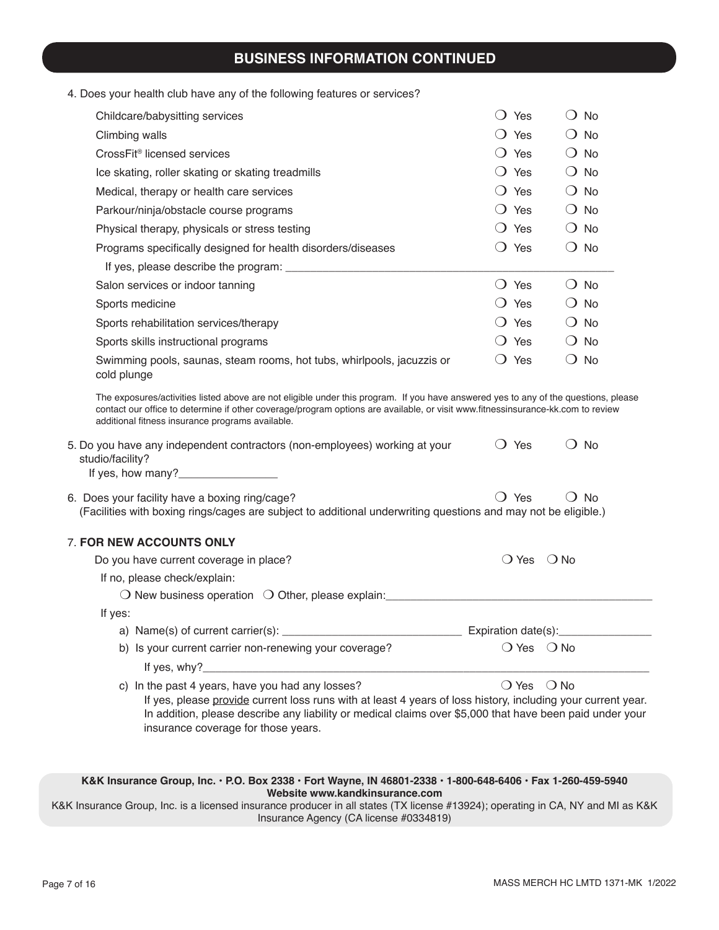# **BUSINESS INFORMATION CONTINUED**

| 4. Does your health club have any of the following features or services? |  |  |
|--------------------------------------------------------------------------|--|--|
|--------------------------------------------------------------------------|--|--|

| Childcare/babysitting services                                                                                                                                                                                                                                                                                             | $\bigcirc$ Yes                | $\bigcirc$ No                |  |
|----------------------------------------------------------------------------------------------------------------------------------------------------------------------------------------------------------------------------------------------------------------------------------------------------------------------------|-------------------------------|------------------------------|--|
| Climbing walls                                                                                                                                                                                                                                                                                                             | $\bigcirc$ Yes                | No<br>$\left( \right)$       |  |
| CrossFit <sup>®</sup> licensed services                                                                                                                                                                                                                                                                                    | $\bigcirc$ Yes                | $\bigcirc$ No                |  |
| Ice skating, roller skating or skating treadmills                                                                                                                                                                                                                                                                          | $\bigcirc$ Yes                | $\bigcirc$ No                |  |
| Medical, therapy or health care services                                                                                                                                                                                                                                                                                   | $\bigcirc$ Yes                | $\bigcirc$ No                |  |
| Parkour/ninja/obstacle course programs                                                                                                                                                                                                                                                                                     | $\bigcirc$ Yes                | $\bigcirc$ No                |  |
| Physical therapy, physicals or stress testing                                                                                                                                                                                                                                                                              | $\bigcirc$ Yes                | $\bigcirc$ No                |  |
| Programs specifically designed for health disorders/diseases                                                                                                                                                                                                                                                               | $\bigcirc$ Yes                | $\bigcirc$ No                |  |
|                                                                                                                                                                                                                                                                                                                            |                               |                              |  |
| Salon services or indoor tanning                                                                                                                                                                                                                                                                                           | $\bigcirc$ Yes                | $\bigcirc$ No                |  |
| Sports medicine                                                                                                                                                                                                                                                                                                            | $\bigcirc$ Yes                | $\bigcirc$ No                |  |
| Sports rehabilitation services/therapy                                                                                                                                                                                                                                                                                     | $\bigcirc$ Yes                | $\bigcirc$ No                |  |
| Sports skills instructional programs                                                                                                                                                                                                                                                                                       | $\bigcirc$ Yes                | $\bigcirc$ No                |  |
| Swimming pools, saunas, steam rooms, hot tubs, whirlpools, jacuzzis or<br>cold plunge                                                                                                                                                                                                                                      | $\bigcirc$ Yes                | $\bigcirc$ No                |  |
| The exposures/activities listed above are not eligible under this program. If you have answered yes to any of the questions, please<br>contact our office to determine if other coverage/program options are available, or visit www.fitnessinsurance-kk.com to review<br>additional fitness insurance programs available. |                               |                              |  |
| 5. Do you have any independent contractors (non-employees) working at your<br>studio/facility?<br>If yes, how many?______________                                                                                                                                                                                          | $\bigcirc$ Yes                | No<br>$\left( \quad \right)$ |  |
| 6. Does your facility have a boxing ring/cage?<br>(Facilities with boxing rings/cages are subject to additional underwriting questions and may not be eligible.)                                                                                                                                                           | Yes<br>$\left( \quad \right)$ | <b>No</b><br>$\mathbf{L}$    |  |
| 7. FOR NEW ACCOUNTS ONLY                                                                                                                                                                                                                                                                                                   |                               |                              |  |
| Do you have current coverage in place?                                                                                                                                                                                                                                                                                     | $\bigcirc$ Yes                | $\bigcirc$ No                |  |
| If no, please check/explain:                                                                                                                                                                                                                                                                                               |                               |                              |  |
| O New business operation O Other, please explain: ______________________________                                                                                                                                                                                                                                           |                               |                              |  |
| If yes:                                                                                                                                                                                                                                                                                                                    |                               |                              |  |
|                                                                                                                                                                                                                                                                                                                            |                               |                              |  |
| b) Is your current carrier non-renewing your coverage?<br>If yes, why?_                                                                                                                                                                                                                                                    | $\bigcirc$ Yes $\bigcirc$ No  |                              |  |
| c) In the past 4 years, have you had any losses?                                                                                                                                                                                                                                                                           | $\bigcirc$ Yes $\bigcirc$ No  |                              |  |
| If yes, please provide current loss runs with at least 4 years of loss history, including your current year.<br>In addition, please describe any liability or medical claims over \$5,000 that have been paid under your<br>insurance coverage for those years.                                                            |                               |                              |  |

**K&K Insurance Group, Inc. • P.O. Box 2338 • Fort Wayne, IN 46801-2338 • 1-800-648-6406 • Fax 1-260-459-5940 Website www.kandkinsurance.com**  K&K Insurance Group, Inc. is a licensed insurance producer in all states (TX license #13924); operating in CA, NY and MI as K&K Insurance Agency (CA license #0334819)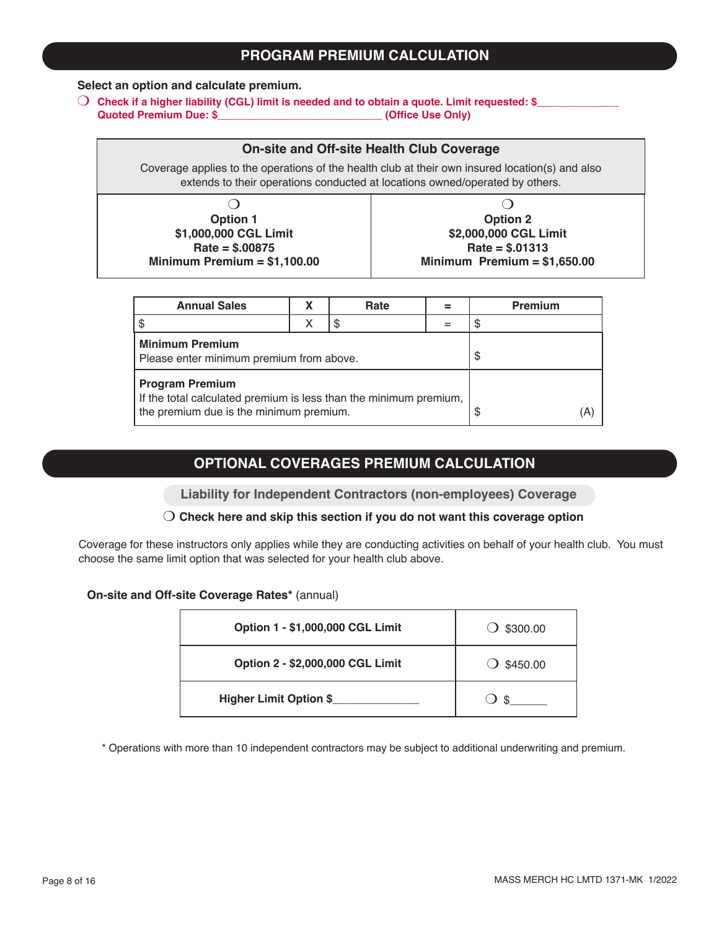# **PROGRAM PREMIUM CALCULATION**

#### **Select an option and calculate premium.**

O Check if a higher liability (CGL) limit is needed and to obtain a quote. Limit requested: \$<br>Quoted Premium Due: \$ (Office Use Only) **Quoted Premium Due: \$\_\_\_\_\_\_\_\_\_\_\_\_\_\_\_\_\_\_\_\_\_\_\_\_\_\_\_\_ (Office Use Only)**

### **On-site and Off-site Health Club Coverage**

Coverage applies to the operations of the health club at their own insured location(s) and also extends to their operations conducted at locations owned/operated by others.

| <b>Option 1</b>               | <b>Option 2</b>               |
|-------------------------------|-------------------------------|
| \$1,000,000 CGL Limit         | \$2,000,000 CGL Limit         |
| $Rate = $.00875$              | $Rate = $.01313$              |
| Minimum Premium = $$1,100.00$ | Minimum Premium = $$1,650.00$ |

| <b>Annual Sales</b>                                                                                                                    |  | Rate      |    | <b>Premium</b> |
|----------------------------------------------------------------------------------------------------------------------------------------|--|-----------|----|----------------|
|                                                                                                                                        |  |           |    |                |
| <b>Minimum Premium</b><br>Please enter minimum premium from above.                                                                     |  |           | \$ |                |
| <b>Program Premium</b><br>If the total calculated premium is less than the minimum premium,<br>the premium due is the minimum premium. |  | (A)<br>\$ |    |                |

## **OPTIONAL COVERAGES PREMIUM CALCULATION**

**Liability for Independent Contractors (non-employees) Coverage**

#### m **Check here and skip this section if you do not want this coverage option**

Coverage for these instructors only applies while they are conducting activities on behalf of your health club. You must choose the same limit option that was selected for your health club above.

#### **On-site and Off-site Coverage Rates\*** (annual)

| Option 1 - \$1,000,000 CGL Limit | \$300.00            |
|----------------------------------|---------------------|
| Option 2 - \$2,000,000 CGL Limit | $\bigcirc$ \$450.00 |
| <b>Higher Limit Option \$</b>    | \$                  |

\* Operations with more than 10 independent contractors may be subject to additional underwriting and premium.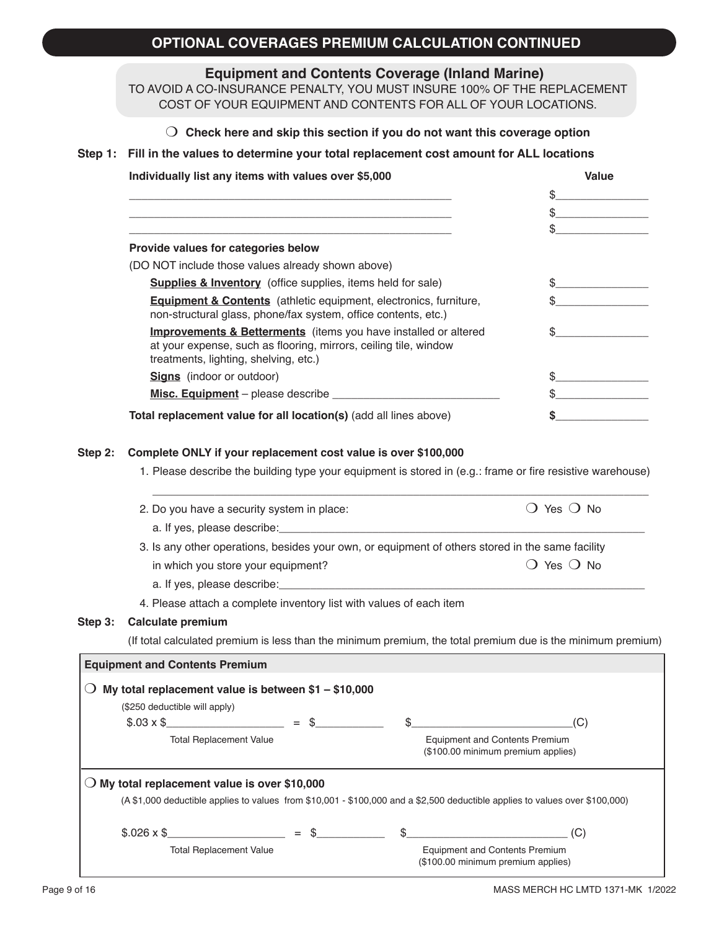# **OPTIONAL COVERAGES PREMIUM CALCULATION CONTINUED**

**Equipment and Contents Coverage (Inland Marine)**

TO AVOID A CO-INSURANCE PENALTY, YOU MUST INSURE 100% OF THE REPLACEMENT COST OF YOUR EQUIPMENT AND CONTENTS FOR ALL OF YOUR LOCATIONS.

|  | $\bigcirc$ Check here and skip this section if you do not want this coverage option |  |  |  |  |
|--|-------------------------------------------------------------------------------------|--|--|--|--|
|--|-------------------------------------------------------------------------------------|--|--|--|--|

#### **Step 1: Fill in the values to determine your total replacement cost amount for ALL locations**

| Individually list any items with values over \$5,000                                                                                                                                    | <b>Value</b> |
|-----------------------------------------------------------------------------------------------------------------------------------------------------------------------------------------|--------------|
|                                                                                                                                                                                         |              |
|                                                                                                                                                                                         |              |
|                                                                                                                                                                                         |              |
| Provide values for categories below                                                                                                                                                     |              |
| (DO NOT include those values already shown above)                                                                                                                                       |              |
| <b>Supplies &amp; Inventory</b> (office supplies, items held for sale)                                                                                                                  |              |
| <b>Equipment &amp; Contents</b> (athletic equipment, electronics, furniture,<br>non-structural glass, phone/fax system, office contents, etc.)                                          |              |
| <b>Improvements &amp; Betterments</b> (items you have installed or altered<br>at your expense, such as flooring, mirrors, ceiling tile, window<br>treatments, lighting, shelving, etc.) |              |
| <b>Signs</b> (indoor or outdoor)                                                                                                                                                        |              |
|                                                                                                                                                                                         |              |
| Total replacement value for all location(s) (add all lines above)                                                                                                                       |              |

#### **Step 2: Complete ONLY if your replacement cost value is over \$100,000**

1. Please describe the building type your equipment is stored in (e.g.: frame or fire resistive warehouse)

|         | 2. Do you have a security system in place:                                                                                                 |        | Yes ( ) No                                                                                                   |
|---------|--------------------------------------------------------------------------------------------------------------------------------------------|--------|--------------------------------------------------------------------------------------------------------------|
|         |                                                                                                                                            |        |                                                                                                              |
|         | 3. Is any other operations, besides your own, or equipment of others stored in the same facility                                           |        |                                                                                                              |
|         | in which you store your equipment?                                                                                                         |        | Yes () No                                                                                                    |
|         |                                                                                                                                            |        |                                                                                                              |
|         | 4. Please attach a complete inventory list with values of each item                                                                        |        |                                                                                                              |
| Step 3: | Calculate premium                                                                                                                          |        |                                                                                                              |
|         |                                                                                                                                            |        | (If total calculated premium is less than the minimum premium, the total premium due is the minimum premium) |
|         | My total replacement value is between $$1 - $10,000$<br>(\$250 deductible will apply)<br>$$.03 \times $$<br><b>Total Replacement Value</b> |        | (C)<br><b>Equipment and Contents Premium</b><br>(\$100.00 minimum premium applies)                           |
|         | $\bigcirc$ My total replacement value is over \$10,000                                                                                     |        |                                                                                                              |
|         | (A \$1,000 deductible applies to values from \$10,001 - \$100,000 and a \$2,500 deductible applies to values over \$100,000)               |        |                                                                                                              |
|         | $$.026 \times$ \$                                                                                                                          | $=$ \$ | $\sim$<br>(C)                                                                                                |
|         | <b>Total Replacement Value</b>                                                                                                             |        | <b>Equipment and Contents Premium</b><br>(\$100.00 minimum premium applies)                                  |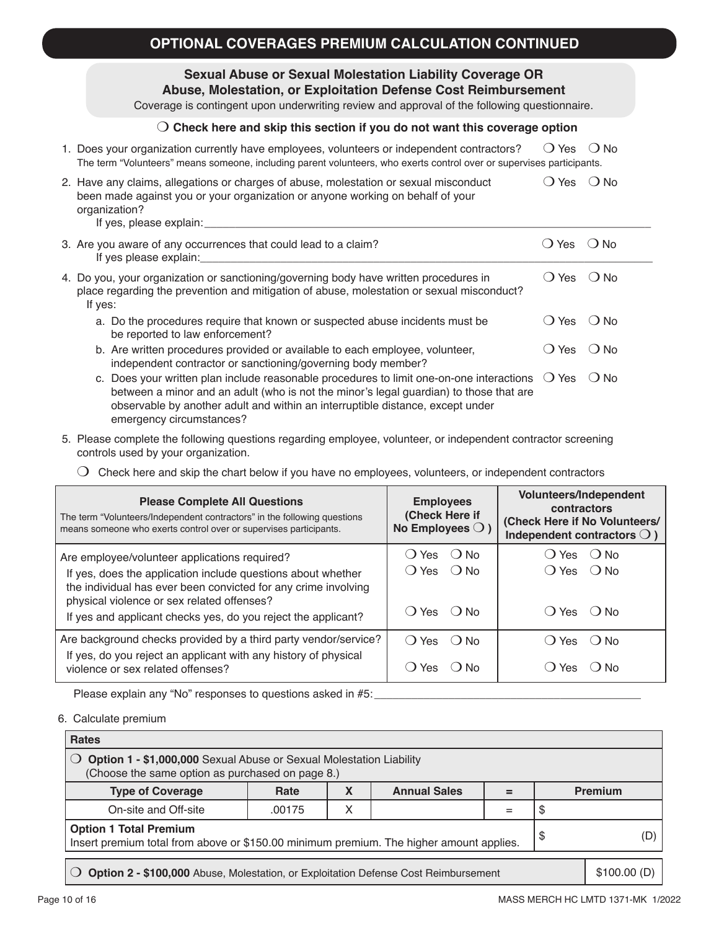## **Sexual Abuse or Sexual Molestation Liability Coverage OR Abuse, Molestation, or Exploitation Defense Cost Reimbursement**

Coverage is contingent upon underwriting review and approval of the following questionnaire.

#### m **Check here and skip this section if you do not want this coverage option**

| 1. Does your organization currently have employees, volunteers or independent contractors?                            | ○ Yes ○ No |  |
|-----------------------------------------------------------------------------------------------------------------------|------------|--|
| The term "Volunteers" means someone, including parent volunteers, who exerts control over or supervises participants. |            |  |

| 2. Have any claims, allegations or charges of abuse, molestation or sexual misconduct<br>been made against you or your organization or anyone working on behalf of your<br>organization?<br>If yes, please explain: | $() Yes$ $() No$ |  |
|---------------------------------------------------------------------------------------------------------------------------------------------------------------------------------------------------------------------|------------------|--|
| 3. Are you aware of any occurrences that could lead to a claim?<br>If yoo plongo ovploin:                                                                                                                           | $O$ Yes $O$ No   |  |

| If yes please explain:                                                                                                                                                                                          |              |        |
|-----------------------------------------------------------------------------------------------------------------------------------------------------------------------------------------------------------------|--------------|--------|
| 4. Do you, your organization or sanctioning/governing body have written procedures in<br>place regarding the prevention and mitigation of abuse, molestation or sexual misconduct?<br>If yes:                   | ( ) Yes      | ( ) No |
| a. Do the procedures require that known or suspected abuse incidents must be<br>be reported to law enforcement?                                                                                                 | () Yes () No |        |
| b. Are written procedures provided or available to each employee, volunteer,<br>independent contractor or sanctioning/governing body member?                                                                    | () Yes () No |        |
| c. Does your written plan include reasonable procedures to limit one-on-one interactions $\bigcirc$ Yes $\bigcirc$ No<br>between a minor and an adult (who is not the minor's legal guardian) to those that are |              |        |

5. Please complete the following questions regarding employee, volunteer, or independent contractor screening controls used by your organization.

observable by another adult and within an interruptible distance, except under

 $\bigcirc$  Check here and skip the chart below if you have no employees, volunteers, or independent contractors

| <b>Please Complete All Questions</b><br>The term "Volunteers/Independent contractors" in the following questions<br>means someone who exerts control over or supervises participants. | <b>Employees</b><br>(Check Here if<br>No Employees $\bigcirc$ ) | Volunteers/Independent<br>contractors<br>(Check Here if No Volunteers/<br>Independent contractors $\bigcirc$ ) |
|---------------------------------------------------------------------------------------------------------------------------------------------------------------------------------------|-----------------------------------------------------------------|----------------------------------------------------------------------------------------------------------------|
| Are employee/volunteer applications required?                                                                                                                                         | ( ) Yes<br>$()$ No                                              | $()$ Yes<br>∴ No                                                                                               |
| If yes, does the application include questions about whether<br>the individual has ever been convicted for any crime involving<br>physical violence or sex related offenses?          | () Yes () No                                                    | () Yes () No                                                                                                   |
| If yes and applicant checks yes, do you reject the applicant?                                                                                                                         | () Yes () No                                                    | $() Yes$ $() No$                                                                                               |
| Are background checks provided by a third party vendor/service?                                                                                                                       | $O$ Yes $O$ No                                                  | () Yes<br>∴ No                                                                                                 |
| If yes, do you reject an applicant with any history of physical<br>violence or sex related offenses?                                                                                  | Yes<br>( ) N∩<br>$\left( \quad \right)$                         | ∶ ) N∩<br>Yes                                                                                                  |

Please explain any "No" responses to questions asked in #5:

emergency circumstances?

6. Calculate premium

| <b>Rates</b>                                                                                                             |        |   |                     |   |    |                |  |
|--------------------------------------------------------------------------------------------------------------------------|--------|---|---------------------|---|----|----------------|--|
| Option 1 - \$1,000,000 Sexual Abuse or Sexual Molestation Liability<br>(Choose the same option as purchased on page 8.)  |        |   |                     |   |    |                |  |
| <b>Type of Coverage</b>                                                                                                  | Rate   | X | <b>Annual Sales</b> | = |    | <b>Premium</b> |  |
| On-site and Off-site                                                                                                     | .00175 |   |                     |   |    |                |  |
| <b>Option 1 Total Premium</b><br>Insert premium total from above or \$150.00 minimum premium. The higher amount applies. |        |   |                     |   | \$ | (D)            |  |
| Option 2 - \$100,000 Abuse, Molestation, or Exploitation Defense Cost Reimbursement                                      |        |   |                     |   |    | \$100.00(D)    |  |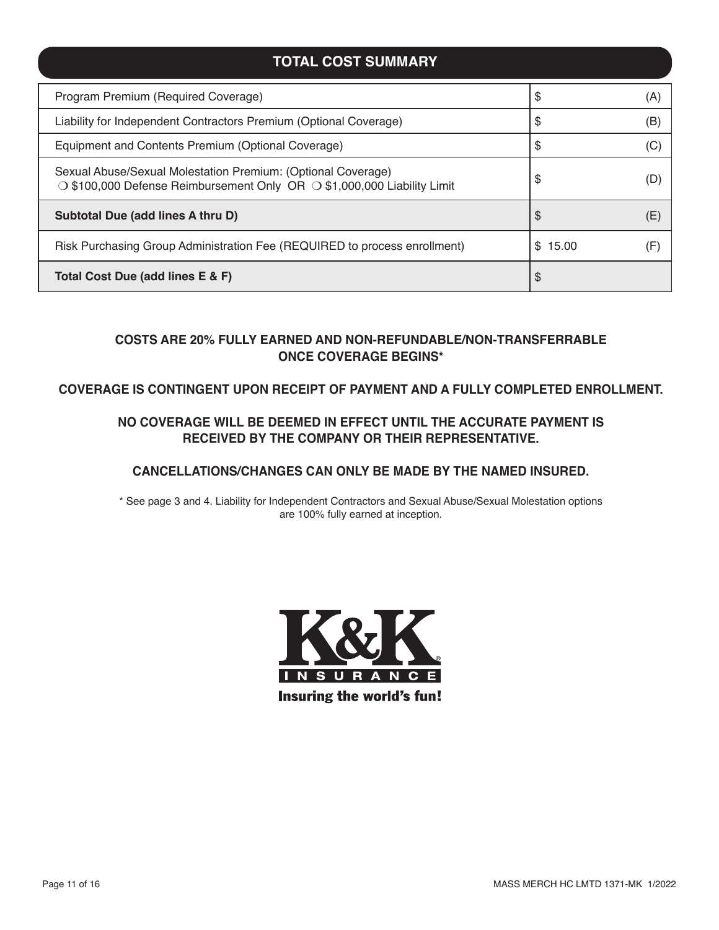# **TOTAL COST SUMMARY**

| Program Premium (Required Coverage)                                                                                                     | \$           | (A) |
|-----------------------------------------------------------------------------------------------------------------------------------------|--------------|-----|
| Liability for Independent Contractors Premium (Optional Coverage)                                                                       | \$           | (B) |
| Equipment and Contents Premium (Optional Coverage)                                                                                      | \$           | (C) |
| Sexual Abuse/Sexual Molestation Premium: (Optional Coverage)<br>○ \$100,000 Defense Reimbursement Only OR ○ \$1,000,000 Liability Limit | \$           | (D  |
| Subtotal Due (add lines A thru D)                                                                                                       | \$           | (E) |
| Risk Purchasing Group Administration Fee (REQUIRED to process enrollment)                                                               | 15.00<br>\$. | (F  |
| Total Cost Due (add lines E & F)                                                                                                        | \$           |     |

## **COSTS ARE 20% FULLY EARNED AND NON-REFUNDABLE/NON-TRANSFERRABLE ONCE COVERAGE BEGINS\***

## **COVERAGE IS CONTINGENT UPON RECEIPT OF PAYMENT AND A FULLY COMPLETED ENROLLMENT.**

## **NO COVERAGE WILL BE DEEMED IN EFFECT UNTIL THE ACCURATE PAYMENT IS RECEIVED BY THE COMPANY OR THEIR REPRESENTATIVE.**

## **CANCELLATIONS/CHANGES CAN ONLY BE MADE BY THE NAMED INSURED.**

\* See page 3 and 4. Liability for Independent Contractors and Sexual Abuse/Sexual Molestation options are 100% fully earned at inception.

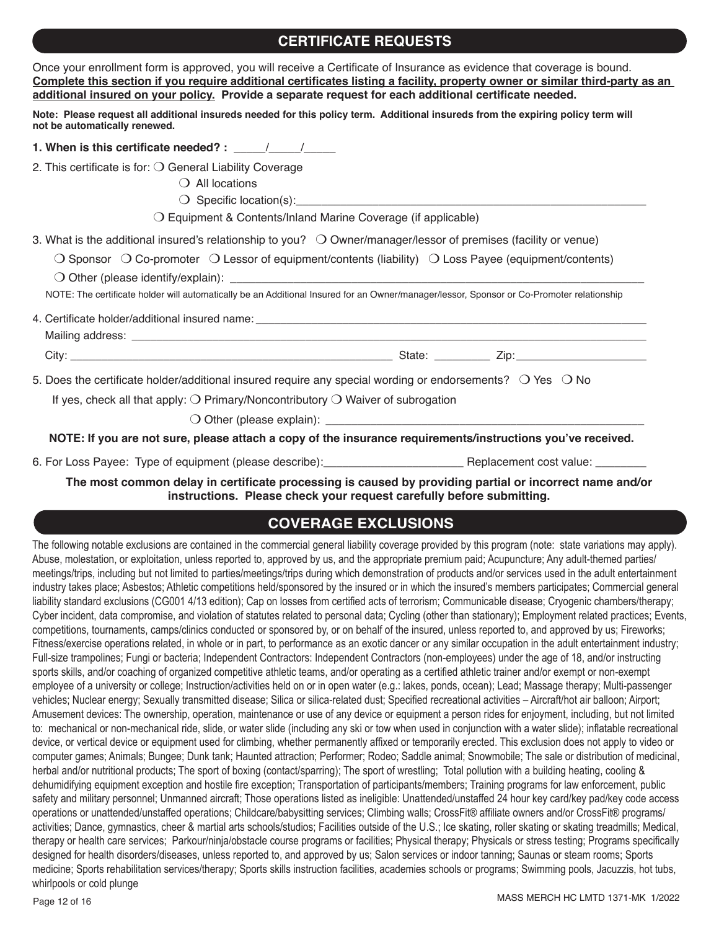# **CERTIFICATE REQUESTS**

| Once your enrollment form is approved, you will receive a Certificate of Insurance as evidence that coverage is bound.<br>Complete this section if you require additional certificates listing a facility, property owner or similar third-party as an<br>additional insured on your policy. Provide a separate request for each additional certificate needed.                                                   |
|-------------------------------------------------------------------------------------------------------------------------------------------------------------------------------------------------------------------------------------------------------------------------------------------------------------------------------------------------------------------------------------------------------------------|
| Note: Please request all additional insureds needed for this policy term. Additional insureds from the expiring policy term will<br>not be automatically renewed.                                                                                                                                                                                                                                                 |
| 1. When is this certificate needed? : $\frac{1}{\frac{1}{2} \cdot \frac{1}{2} \cdot \frac{1}{2} \cdot \frac{1}{2} \cdot \frac{1}{2} \cdot \frac{1}{2} \cdot \frac{1}{2} \cdot \frac{1}{2} \cdot \frac{1}{2} \cdot \frac{1}{2} \cdot \frac{1}{2} \cdot \frac{1}{2} \cdot \frac{1}{2} \cdot \frac{1}{2} \cdot \frac{1}{2} \cdot \frac{1}{2} \cdot \frac{1}{2} \cdot \frac{1}{2} \cdot \frac{1}{2} \cdot \frac{1}{2$ |
| 2. This certificate is for: $\bigcirc$ General Liability Coverage                                                                                                                                                                                                                                                                                                                                                 |
| $\bigcirc$ All locations                                                                                                                                                                                                                                                                                                                                                                                          |
|                                                                                                                                                                                                                                                                                                                                                                                                                   |
| $\bigcirc$ Equipment & Contents/Inland Marine Coverage (if applicable)                                                                                                                                                                                                                                                                                                                                            |
| 3. What is the additional insured's relationship to you? $\bigcirc$ Owner/manager/lessor of premises (facility or venue)                                                                                                                                                                                                                                                                                          |
| $\bigcirc$ Sponsor $\bigcirc$ Co-promoter $\bigcirc$ Lessor of equipment/contents (liability) $\bigcirc$ Loss Payee (equipment/contents)                                                                                                                                                                                                                                                                          |
|                                                                                                                                                                                                                                                                                                                                                                                                                   |
| NOTE: The certificate holder will automatically be an Additional Insured for an Owner/manager/lessor, Sponsor or Co-Promoter relationship                                                                                                                                                                                                                                                                         |
|                                                                                                                                                                                                                                                                                                                                                                                                                   |
|                                                                                                                                                                                                                                                                                                                                                                                                                   |
|                                                                                                                                                                                                                                                                                                                                                                                                                   |
| 5. Does the certificate holder/additional insured require any special wording or endorsements? $\bigcirc$ Yes $\bigcirc$ No                                                                                                                                                                                                                                                                                       |
| If yes, check all that apply: $\bigcirc$ Primary/Noncontributory $\bigcirc$ Waiver of subrogation                                                                                                                                                                                                                                                                                                                 |
|                                                                                                                                                                                                                                                                                                                                                                                                                   |
| NOTE: If you are not sure, please attach a copy of the insurance requirements/instructions you've received.                                                                                                                                                                                                                                                                                                       |
| 6. For Loss Payee: Type of equipment (please describe): Replacement cost value: _______                                                                                                                                                                                                                                                                                                                           |

**The most common delay in certificate processing is caused by providing partial or incorrect name and/or instructions. Please check your request carefully before submitting.**

# **COVERAGE EXCLUSIONS**

The following notable exclusions are contained in the commercial general liability coverage provided by this program (note: state variations may apply). Abuse, molestation, or exploitation, unless reported to, approved by us, and the appropriate premium paid; Acupuncture; Any adult-themed parties/ meetings/trips, including but not limited to parties/meetings/trips during which demonstration of products and/or services used in the adult entertainment industry takes place; Asbestos; Athletic competitions held/sponsored by the insured or in which the insured's members participates; Commercial general liability standard exclusions (CG001 4/13 edition); Cap on losses from certified acts of terrorism; Communicable disease; Cryogenic chambers/therapy; Cyber incident, data compromise, and violation of statutes related to personal data; Cycling (other than stationary); Employment related practices; Events, competitions, tournaments, camps/clinics conducted or sponsored by, or on behalf of the insured, unless reported to, and approved by us; Fireworks; Fitness/exercise operations related, in whole or in part, to performance as an exotic dancer or any similar occupation in the adult entertainment industry; Full-size trampolines; Fungi or bacteria; Independent Contractors: Independent Contractors (non-employees) under the age of 18, and/or instructing sports skills, and/or coaching of organized competitive athletic teams, and/or operating as a certified athletic trainer and/or exempt or non-exempt employee of a university or college; Instruction/activities held on or in open water (e.g.: lakes, ponds, ocean); Lead; Massage therapy; Multi-passenger vehicles; Nuclear energy; Sexually transmitted disease; Silica or silica-related dust; Specified recreational activities – Aircraft/hot air balloon; Airport; Amusement devices: The ownership, operation, maintenance or use of any device or equipment a person rides for enjoyment, including, but not limited to: mechanical or non-mechanical ride, slide, or water slide (including any ski or tow when used in conjunction with a water slide); inflatable recreational device, or vertical device or equipment used for climbing, whether permanently affixed or temporarily erected. This exclusion does not apply to video or computer games; Animals; Bungee; Dunk tank; Haunted attraction; Performer; Rodeo; Saddle animal; Snowmobile; The sale or distribution of medicinal, herbal and/or nutritional products; The sport of boxing (contact/sparring); The sport of wrestling; Total pollution with a building heating, cooling & dehumidifying equipment exception and hostile fire exception; Transportation of participants/members; Training programs for law enforcement, public safety and military personnel; Unmanned aircraft; Those operations listed as ineligible: Unattended/unstaffed 24 hour key card/key pad/key code access operations or unattended/unstaffed operations; Childcare/babysitting services; Climbing walls; CrossFit® affiliate owners and/or CrossFit® programs/ activities; Dance, gymnastics, cheer & martial arts schools/studios; Facilities outside of the U.S.; Ice skating, roller skating or skating treadmills; Medical, therapy or health care services; Parkour/ninja/obstacle course programs or facilities; Physical therapy; Physicals or stress testing; Programs specifically designed for health disorders/diseases, unless reported to, and approved by us; Salon services or indoor tanning; Saunas or steam rooms; Sports medicine; Sports rehabilitation services/therapy; Sports skills instruction facilities, academies schools or programs; Swimming pools, Jacuzzis, hot tubs, whirlpools or cold plunge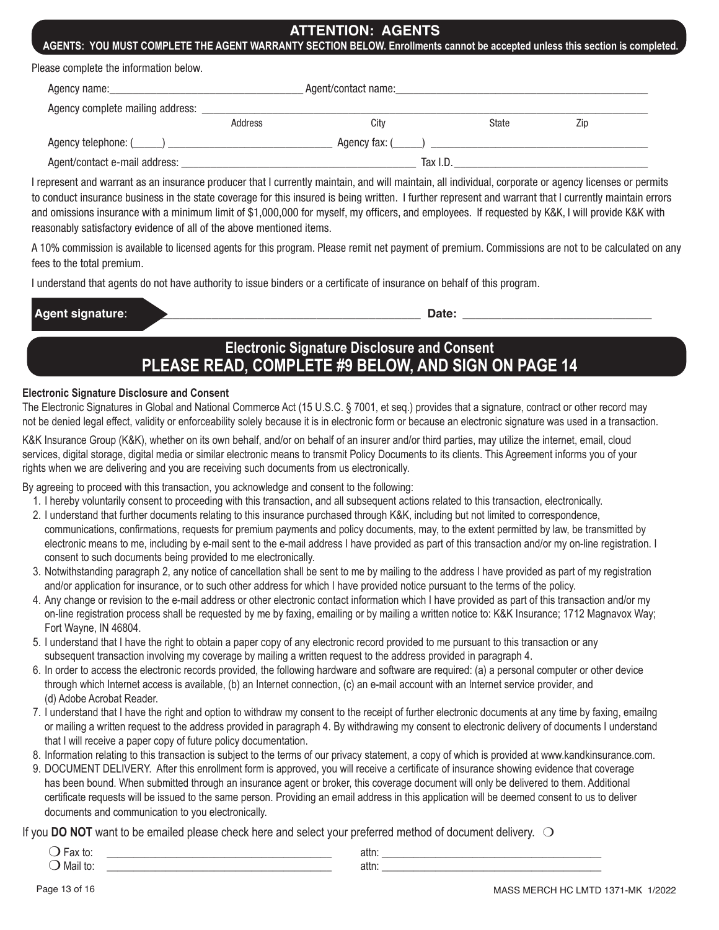## **ATTENTION: AGENTS**

**AGENTS: YOU MUST COMPLETE THE AGENT WARRANTY SECTION BELOW. Enrollments cannot be accepted unless this section is completed.**

|  | Please complete the information below. |  |
|--|----------------------------------------|--|
|--|----------------------------------------|--|

| Agency name:                     | Agent/contact name: |                |              |     |  |
|----------------------------------|---------------------|----------------|--------------|-----|--|
| Agency complete mailing address: |                     |                |              |     |  |
|                                  | Address             | City           | <b>State</b> | Zip |  |
|                                  |                     | Agency fax: () |              |     |  |
| Agent/contact e-mail address:    |                     | Tax I.D.       |              |     |  |

I represent and warrant as an insurance producer that I currently maintain, and will maintain, all individual, corporate or agency licenses or permits to conduct insurance business in the state coverage for this insured is being written. I further represent and warrant that I currently maintain errors and omissions insurance with a minimum limit of \$1,000,000 for myself, my officers, and employees. If requested by K&K, I will provide K&K with reasonably satisfactory evidence of all of the above mentioned items.

A 10% commission is available to licensed agents for this program. Please remit net payment of premium. Commissions are not to be calculated on any fees to the total premium.

I understand that agents do not have authority to issue binders or a certificate of insurance on behalf of this program.

| l Δ<br>--<br>$-$<br>-- | --- |
|------------------------|-----|
|                        |     |

**Electronic Signature Disclosure and Consent PLEASE READ, COMPLETE #9 BELOW, AND SIGN ON PAGE 14**

#### **Electronic Signature Disclosure and Consent**

The Electronic Signatures in Global and National Commerce Act (15 U.S.C. § 7001, et seq.) provides that a signature, contract or other record may not be denied legal effect, validity or enforceability solely because it is in electronic form or because an electronic signature was used in a transaction.

K&K Insurance Group (K&K), whether on its own behalf, and/or on behalf of an insurer and/or third parties, may utilize the internet, email, cloud services, digital storage, digital media or similar electronic means to transmit Policy Documents to its clients. This Agreement informs you of your rights when we are delivering and you are receiving such documents from us electronically.

By agreeing to proceed with this transaction, you acknowledge and consent to the following:

- 1. I hereby voluntarily consent to proceeding with this transaction, and all subsequent actions related to this transaction, electronically.
- 2. I understand that further documents relating to this insurance purchased through K&K, including but not limited to correspondence, communications, confirmations, requests for premium payments and policy documents, may, to the extent permitted by law, be transmitted by electronic means to me, including by e-mail sent to the e-mail address I have provided as part of this transaction and/or my on-line registration. I consent to such documents being provided to me electronically.
- 3. Notwithstanding paragraph 2, any notice of cancellation shall be sent to me by mailing to the address I have provided as part of my registration and/or application for insurance, or to such other address for which I have provided notice pursuant to the terms of the policy.
- 4. Any change or revision to the e-mail address or other electronic contact information which I have provided as part of this transaction and/or my on-line registration process shall be requested by me by faxing, emailing or by mailing a written notice to: K&K Insurance; 1712 Magnavox Way; Fort Wayne, IN 46804.
- 5. I understand that I have the right to obtain a paper copy of any electronic record provided to me pursuant to this transaction or any subsequent transaction involving my coverage by mailing a written request to the address provided in paragraph 4.
- 6. In order to access the electronic records provided, the following hardware and software are required: (a) a personal computer or other device through which Internet access is available, (b) an Internet connection, (c) an e-mail account with an Internet service provider, and (d) Adobe Acrobat Reader.
- 7. I understand that I have the right and option to withdraw my consent to the receipt of further electronic documents at any time by faxing, emailng or mailing a written request to the address provided in paragraph 4. By withdrawing my consent to electronic delivery of documents I understand that I will receive a paper copy of future policy documentation.
- 8. Information relating to this transaction is subject to the terms of our privacy statement, a copy of which is provided at www.kandkinsurance.com.
- 9. DOCUMENT DELIVERY. After this enrollment form is approved, you will receive a certificate of insurance showing evidence that coverage has been bound. When submitted through an insurance agent or broker, this coverage document will only be delivered to them. Additional certificate requests will be issued to the same person. Providing an email address in this application will be deemed consent to us to deliver documents and communication to you electronically.

If you **DO NOT** want to be emailed please check here and select your preferred method of document delivery.  $\bigcirc$ 

| un lu.   | attn. |
|----------|-------|
| παιι ιν. | attn: |
|          |       |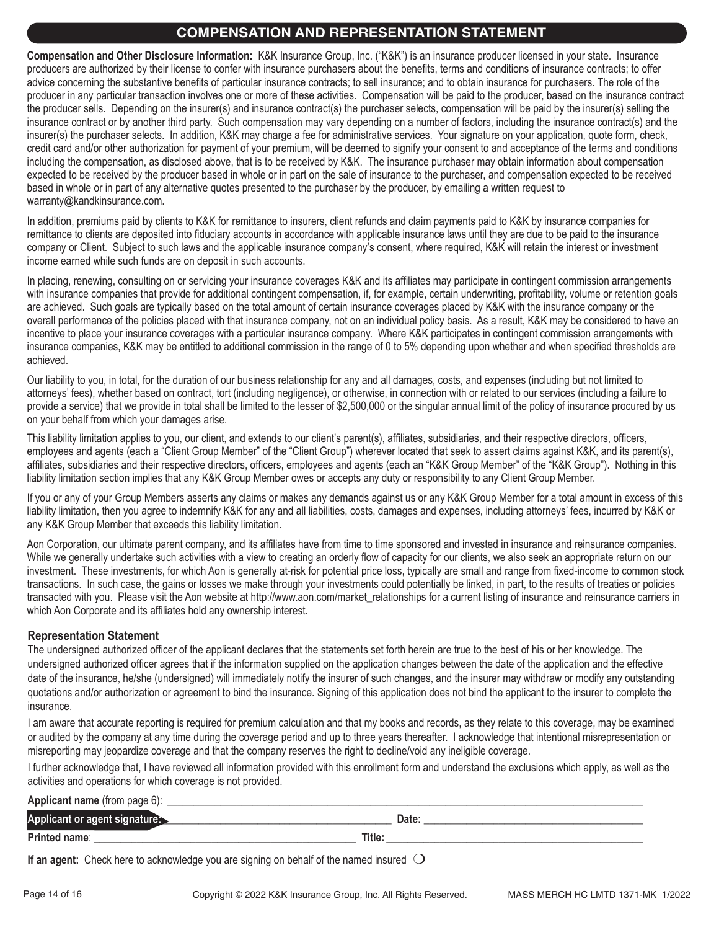# **COMPENSATION AND REPRESENTATION STATEMENT**

**Compensation and Other Disclosure Information:** K&K Insurance Group, Inc. ("K&K") is an insurance producer licensed in your state. Insurance producers are authorized by their license to confer with insurance purchasers about the benefits, terms and conditions of insurance contracts; to offer advice concerning the substantive benefits of particular insurance contracts; to sell insurance; and to obtain insurance for purchasers. The role of the producer in any particular transaction involves one or more of these activities. Compensation will be paid to the producer, based on the insurance contract the producer sells. Depending on the insurer(s) and insurance contract(s) the purchaser selects, compensation will be paid by the insurer(s) selling the insurance contract or by another third party. Such compensation may vary depending on a number of factors, including the insurance contract(s) and the insurer(s) the purchaser selects. In addition, K&K may charge a fee for administrative services. Your signature on your application, quote form, check, credit card and/or other authorization for payment of your premium, will be deemed to signify your consent to and acceptance of the terms and conditions including the compensation, as disclosed above, that is to be received by K&K. The insurance purchaser may obtain information about compensation expected to be received by the producer based in whole or in part on the sale of insurance to the purchaser, and compensation expected to be received based in whole or in part of any alternative quotes presented to the purchaser by the producer, by emailing a written request to warranty@kandkinsurance.com.

In addition, premiums paid by clients to K&K for remittance to insurers, client refunds and claim payments paid to K&K by insurance companies for remittance to clients are deposited into fiduciary accounts in accordance with applicable insurance laws until they are due to be paid to the insurance company or Client. Subject to such laws and the applicable insurance company's consent, where required, K&K will retain the interest or investment income earned while such funds are on deposit in such accounts.

In placing, renewing, consulting on or servicing your insurance coverages K&K and its affiliates may participate in contingent commission arrangements with insurance companies that provide for additional contingent compensation, if, for example, certain underwriting, profitability, volume or retention goals are achieved. Such goals are typically based on the total amount of certain insurance coverages placed by K&K with the insurance company or the overall performance of the policies placed with that insurance company, not on an individual policy basis. As a result, K&K may be considered to have an incentive to place your insurance coverages with a particular insurance company. Where K&K participates in contingent commission arrangements with insurance companies, K&K may be entitled to additional commission in the range of 0 to 5% depending upon whether and when specified thresholds are achieved.

Our liability to you, in total, for the duration of our business relationship for any and all damages, costs, and expenses (including but not limited to attorneys' fees), whether based on contract, tort (including negligence), or otherwise, in connection with or related to our services (including a failure to provide a service) that we provide in total shall be limited to the lesser of \$2,500,000 or the singular annual limit of the policy of insurance procured by us on your behalf from which your damages arise.

This liability limitation applies to you, our client, and extends to our client's parent(s), affiliates, subsidiaries, and their respective directors, officers, employees and agents (each a "Client Group Member" of the "Client Group") wherever located that seek to assert claims against K&K, and its parent(s), affiliates, subsidiaries and their respective directors, officers, employees and agents (each an "K&K Group Member" of the "K&K Group"). Nothing in this liability limitation section implies that any K&K Group Member owes or accepts any duty or responsibility to any Client Group Member.

If you or any of your Group Members asserts any claims or makes any demands against us or any K&K Group Member for a total amount in excess of this liability limitation, then you agree to indemnify K&K for any and all liabilities, costs, damages and expenses, including attorneys' fees, incurred by K&K or any K&K Group Member that exceeds this liability limitation.

Aon Corporation, our ultimate parent company, and its affiliates have from time to time sponsored and invested in insurance and reinsurance companies. While we generally undertake such activities with a view to creating an orderly flow of capacity for our clients, we also seek an appropriate return on our investment. These investments, for which Aon is generally at-risk for potential price loss, typically are small and range from fixed-income to common stock transactions. In such case, the gains or losses we make through your investments could potentially be linked, in part, to the results of treaties or policies transacted with you. Please visit the Aon website at http://www.aon.com/market\_relationships for a current listing of insurance and reinsurance carriers in which Aon Corporate and its affiliates hold any ownership interest.

## **Representation Statement**

The undersigned authorized officer of the applicant declares that the statements set forth herein are true to the best of his or her knowledge. The undersigned authorized officer agrees that if the information supplied on the application changes between the date of the application and the effective date of the insurance, he/she (undersigned) will immediately notify the insurer of such changes, and the insurer may withdraw or modify any outstanding quotations and/or authorization or agreement to bind the insurance. Signing of this application does not bind the applicant to the insurer to complete the insurance.

I am aware that accurate reporting is required for premium calculation and that my books and records, as they relate to this coverage, may be examined or audited by the company at any time during the coverage period and up to three years thereafter. I acknowledge that intentional misrepresentation or misreporting may jeopardize coverage and that the company reserves the right to decline/void any ineligible coverage.

I further acknowledge that, I have reviewed all information provided with this enrollment form and understand the exclusions which apply, as well as the activities and operations for which coverage is not provided.

#### **Applicant name** (from page 6):

| App                    |        | υαισ |
|------------------------|--------|------|
| <b>Printe</b><br>name: | Title: |      |

**If an agent:** Check here to acknowledge you are signing on behalf of the named insured  $\bigcirc$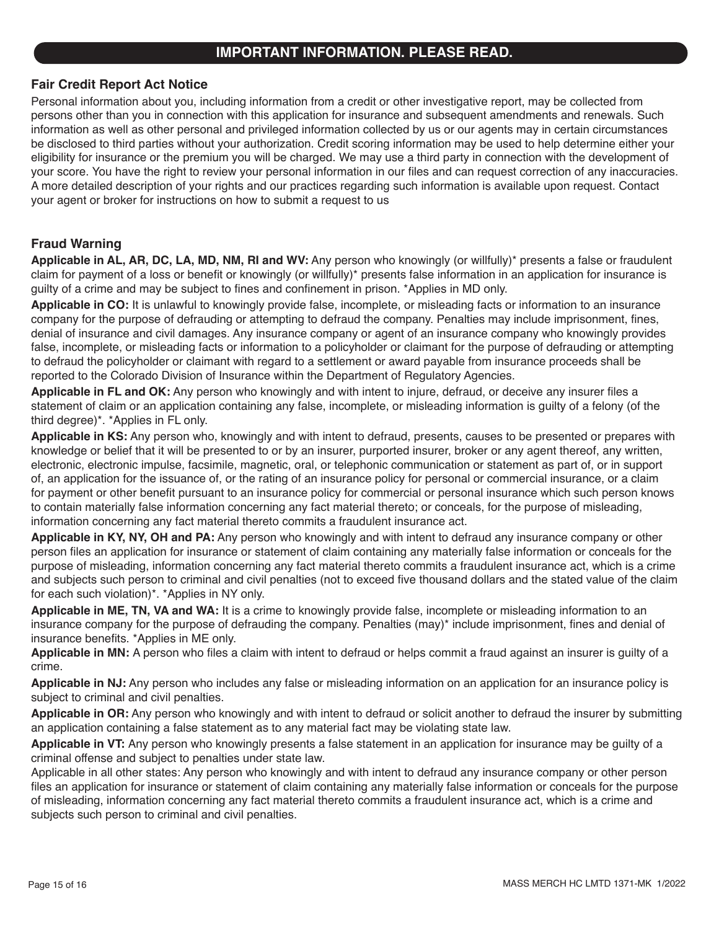# **IMPORTANT INFORMATION. PLEASE READ.**

## **Fair Credit Report Act Notice**

Personal information about you, including information from a credit or other investigative report, may be collected from persons other than you in connection with this application for insurance and subsequent amendments and renewals. Such information as well as other personal and privileged information collected by us or our agents may in certain circumstances be disclosed to third parties without your authorization. Credit scoring information may be used to help determine either your eligibility for insurance or the premium you will be charged. We may use a third party in connection with the development of your score. You have the right to review your personal information in our files and can request correction of any inaccuracies. A more detailed description of your rights and our practices regarding such information is available upon request. Contact your agent or broker for instructions on how to submit a request to us

## **Fraud Warning**

**Applicable in AL, AR, DC, LA, MD, NM, RI and WV:** Any person who knowingly (or willfully)\* presents a false or fraudulent claim for payment of a loss or benefit or knowingly (or willfully)\* presents false information in an application for insurance is guilty of a crime and may be subject to fines and confinement in prison. \*Applies in MD only.

**Applicable in CO:** It is unlawful to knowingly provide false, incomplete, or misleading facts or information to an insurance company for the purpose of defrauding or attempting to defraud the company. Penalties may include imprisonment, fines, denial of insurance and civil damages. Any insurance company or agent of an insurance company who knowingly provides false, incomplete, or misleading facts or information to a policyholder or claimant for the purpose of defrauding or attempting to defraud the policyholder or claimant with regard to a settlement or award payable from insurance proceeds shall be reported to the Colorado Division of Insurance within the Department of Regulatory Agencies.

**Applicable in FL and OK:** Any person who knowingly and with intent to injure, defraud, or deceive any insurer files a statement of claim or an application containing any false, incomplete, or misleading information is guilty of a felony (of the third degree)\*. \*Applies in FL only.

**Applicable in KS:** Any person who, knowingly and with intent to defraud, presents, causes to be presented or prepares with knowledge or belief that it will be presented to or by an insurer, purported insurer, broker or any agent thereof, any written, electronic, electronic impulse, facsimile, magnetic, oral, or telephonic communication or statement as part of, or in support of, an application for the issuance of, or the rating of an insurance policy for personal or commercial insurance, or a claim for payment or other benefit pursuant to an insurance policy for commercial or personal insurance which such person knows to contain materially false information concerning any fact material thereto; or conceals, for the purpose of misleading, information concerning any fact material thereto commits a fraudulent insurance act.

**Applicable in KY, NY, OH and PA:** Any person who knowingly and with intent to defraud any insurance company or other person files an application for insurance or statement of claim containing any materially false information or conceals for the purpose of misleading, information concerning any fact material thereto commits a fraudulent insurance act, which is a crime and subjects such person to criminal and civil penalties (not to exceed five thousand dollars and the stated value of the claim for each such violation)\*. \*Applies in NY only.

**Applicable in ME, TN, VA and WA:** It is a crime to knowingly provide false, incomplete or misleading information to an insurance company for the purpose of defrauding the company. Penalties (may)\* include imprisonment, fines and denial of insurance benefits. \*Applies in ME only.

**Applicable in MN:** A person who files a claim with intent to defraud or helps commit a fraud against an insurer is guilty of a crime.

**Applicable in NJ:** Any person who includes any false or misleading information on an application for an insurance policy is subject to criminal and civil penalties.

**Applicable in OR:** Any person who knowingly and with intent to defraud or solicit another to defraud the insurer by submitting an application containing a false statement as to any material fact may be violating state law.

**Applicable in VT:** Any person who knowingly presents a false statement in an application for insurance may be guilty of a criminal offense and subject to penalties under state law.

Applicable in all other states: Any person who knowingly and with intent to defraud any insurance company or other person files an application for insurance or statement of claim containing any materially false information or conceals for the purpose of misleading, information concerning any fact material thereto commits a fraudulent insurance act, which is a crime and subjects such person to criminal and civil penalties.